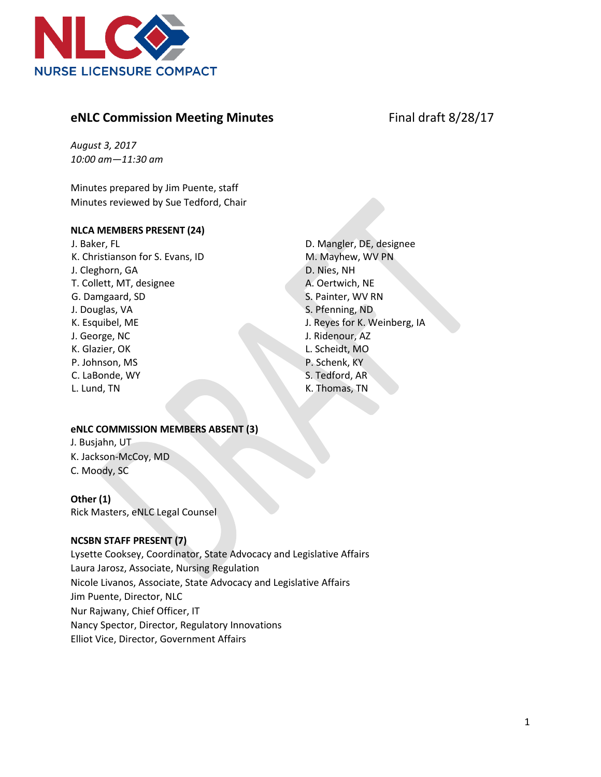

# **eNLC Commission Meeting Minutes Final draft 8/28/17**

*August 3, 2017 10:00 am—11:30 am*

Minutes prepared by Jim Puente, staff Minutes reviewed by Sue Tedford, Chair

#### **NLCA MEMBERS PRESENT (24)**

J. Baker, FL K. Christianson for S. Evans, ID J. Cleghorn, GA T. Collett, MT, designee G. Damgaard, SD J. Douglas, VA K. Esquibel, ME J. George, NC K. Glazier, OK P. Johnson, MS C. LaBonde, WY L. Lund, TN

D. Mangler, DE, designee M. Mayhew, WV PN D. Nies, NH A. Oertwich, NE S. Painter, WV RN S. Pfenning, ND J. Reyes for K. Weinberg, IA J. Ridenour, AZ L. Scheidt, MO P. Schenk, KY S. Tedford, AR K. Thomas, TN

#### **eNLC COMMISSION MEMBERS ABSENT (3)**

J. Busjahn, UT K. Jackson-McCoy, MD C. Moody, SC

#### **Other (1)**

Rick Masters, eNLC Legal Counsel

#### **NCSBN STAFF PRESENT (7)**

Lysette Cooksey, Coordinator, State Advocacy and Legislative Affairs Laura Jarosz, Associate, Nursing Regulation Nicole Livanos, Associate, State Advocacy and Legislative Affairs Jim Puente, Director, NLC Nur Rajwany, Chief Officer, IT Nancy Spector, Director, Regulatory Innovations Elliot Vice, Director, Government Affairs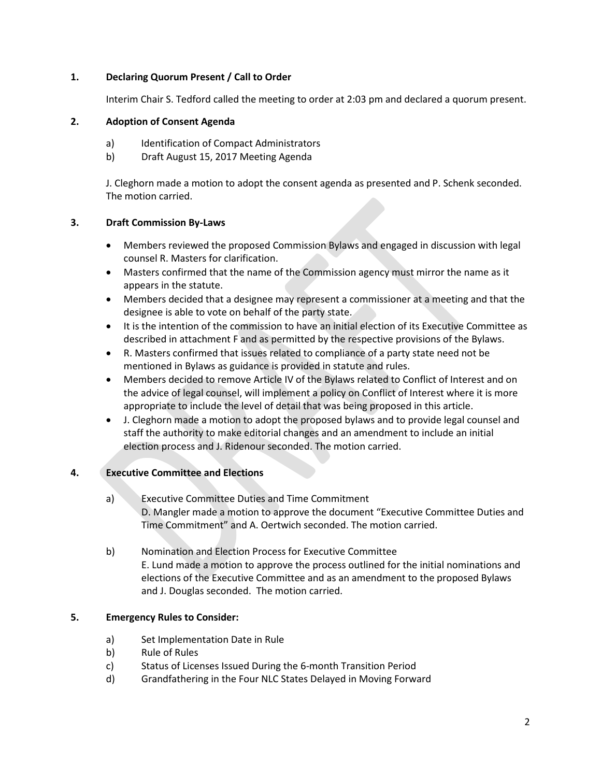# **1. Declaring Quorum Present / Call to Order**

Interim Chair S. Tedford called the meeting to order at 2:03 pm and declared a quorum present.

# **2. Adoption of Consent Agenda**

- a) Identification of Compact Administrators
- b) Draft August 15, 2017 Meeting Agenda

J. Cleghorn made a motion to adopt the consent agenda as presented and P. Schenk seconded. The motion carried.

## **3. Draft Commission By-Laws**

- Members reviewed the proposed Commission Bylaws and engaged in discussion with legal counsel R. Masters for clarification.
- Masters confirmed that the name of the Commission agency must mirror the name as it appears in the statute.
- Members decided that a designee may represent a commissioner at a meeting and that the designee is able to vote on behalf of the party state.
- It is the intention of the commission to have an initial election of its Executive Committee as described in attachment F and as permitted by the respective provisions of the Bylaws.
- R. Masters confirmed that issues related to compliance of a party state need not be mentioned in Bylaws as guidance is provided in statute and rules.
- Members decided to remove Article IV of the Bylaws related to Conflict of Interest and on the advice of legal counsel, will implement a policy on Conflict of Interest where it is more appropriate to include the level of detail that was being proposed in this article.
- J. Cleghorn made a motion to adopt the proposed bylaws and to provide legal counsel and staff the authority to make editorial changes and an amendment to include an initial election process and J. Ridenour seconded. The motion carried.

# **4. Executive Committee and Elections**

- a) Executive Committee Duties and Time Commitment D. Mangler made a motion to approve the document "Executive Committee Duties and Time Commitment" and A. Oertwich seconded. The motion carried.
- b) Nomination and Election Process for Executive Committee E. Lund made a motion to approve the process outlined for the initial nominations and elections of the Executive Committee and as an amendment to the proposed Bylaws and J. Douglas seconded. The motion carried.

# **5. Emergency Rules to Consider:**

- a) Set Implementation Date in Rule
- b) Rule of Rules
- c) Status of Licenses Issued During the 6-month Transition Period
- d) Grandfathering in the Four NLC States Delayed in Moving Forward